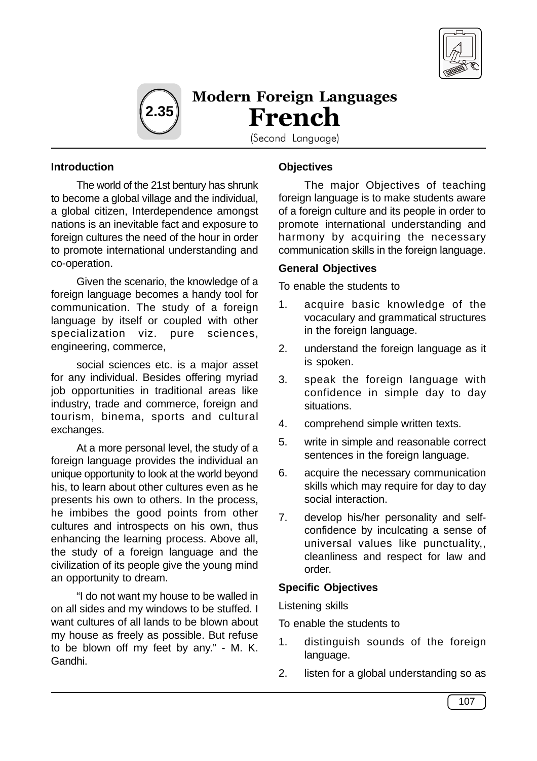



# Modern Foreign Languages French

(Second Language)

### **Introduction**

The world of the 21st bentury has shrunk to become a global village and the individual, a global citizen, Interdependence amongst nations is an inevitable fact and exposure to foreign cultures the need of the hour in order to promote international understanding and co-operation.

Given the scenario, the knowledge of a foreign language becomes a handy tool for communication. The study of a foreign language by itself or coupled with other specialization viz. pure sciences, engineering, commerce,

social sciences etc. is a major asset for any individual. Besides offering myriad job opportunities in traditional areas like industry, trade and commerce, foreign and tourism, binema, sports and cultural exchanges.

At a more personal level, the study of a foreign language provides the individual an unique opportunity to look at the world beyond his, to learn about other cultures even as he presents his own to others. In the process, he imbibes the good points from other cultures and introspects on his own, thus enhancing the learning process. Above all, the study of a foreign language and the civilization of its people give the young mind an opportunity to dream.

"I do not want my house to be walled in on all sides and my windows to be stuffed. I want cultures of all lands to be blown about my house as freely as possible. But refuse to be blown off my feet by any." - M. K. Gandhi.

## **Objectives**

The major Objectives of teaching foreign language is to make students aware of a foreign culture and its people in order to promote international understanding and harmony by acquiring the necessary communication skills in the foreign language.

#### **General Objectives**

To enable the students to

- 1. acquire basic knowledge of the vocaculary and grammatical structures in the foreign language.
- 2. understand the foreign language as it is spoken.
- 3. speak the foreign language with confidence in simple day to day situations.
- 4. comprehend simple written texts.
- 5. write in simple and reasonable correct sentences in the foreign language.
- 6. acquire the necessary communication skills which may require for day to day social interaction.
- 7. develop his/her personality and selfconfidence by inculcating a sense of universal values like punctuality,, cleanliness and respect for law and order.

#### **Specific Objectives**

Listening skills

To enable the students to

- 1. distinguish sounds of the foreign language.
- 2. listen for a global understanding so as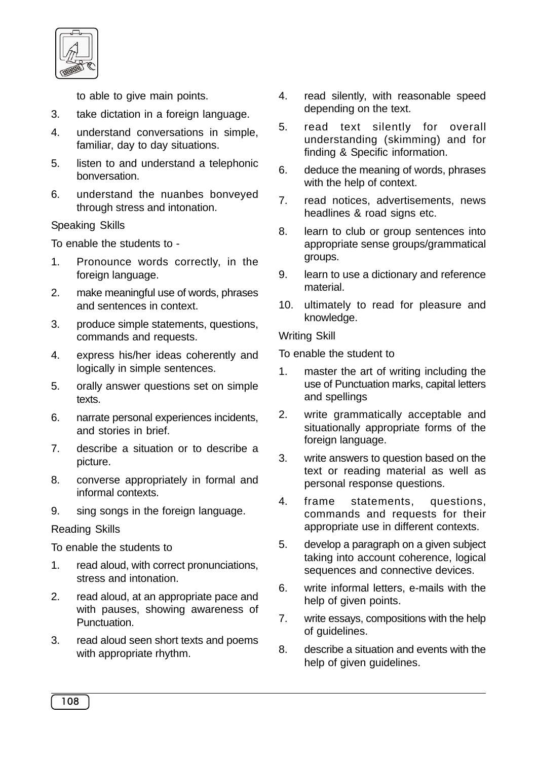

to able to give main points.

- 3. take dictation in a foreign language.
- 4. understand conversations in simple, familiar, day to day situations.
- 5. listen to and understand a telephonic bonversation.
- 6. understand the nuanbes bonveyed through stress and intonation.

#### Speaking Skills

To enable the students to -

- 1. Pronounce words correctly, in the foreign language.
- 2. make meaningful use of words, phrases and sentences in context.
- 3. produce simple statements, questions, commands and requests.
- 4. express his/her ideas coherently and logically in simple sentences.
- 5. orally answer questions set on simple texts.
- 6. narrate personal experiences incidents, and stories in brief.
- 7. describe a situation or to describe a picture.
- 8. converse appropriately in formal and informal contexts.
- 9. sing songs in the foreign language.

#### Reading Skills

To enable the students to

- 1. read aloud, with correct pronunciations, stress and intonation.
- 2. read aloud, at an appropriate pace and with pauses, showing awareness of Punctuation.
- 3. read aloud seen short texts and poems with appropriate rhythm.
- 4. read silently, with reasonable speed depending on the text.
- 5. read text silently for overall understanding (skimming) and for finding & Specific information.
- 6. deduce the meaning of words, phrases with the help of context.
- 7. read notices, advertisements, news headlines & road signs etc.
- 8. learn to club or group sentences into appropriate sense groups/grammatical groups.
- 9. learn to use a dictionary and reference material.
- 10. ultimately to read for pleasure and knowledge.

#### Writing Skill

To enable the student to

- 1. master the art of writing including the use of Punctuation marks, capital letters and spellings
- 2. write grammatically acceptable and situationally appropriate forms of the foreign language.
- 3. write answers to question based on the text or reading material as well as personal response questions.
- 4. frame statements, questions, commands and requests for their appropriate use in different contexts.
- 5. develop a paragraph on a given subject taking into account coherence, logical sequences and connective devices.
- 6. write informal letters, e-mails with the help of given points.
- 7. write essays, compositions with the help of guidelines.
- 8. describe a situation and events with the help of given guidelines.